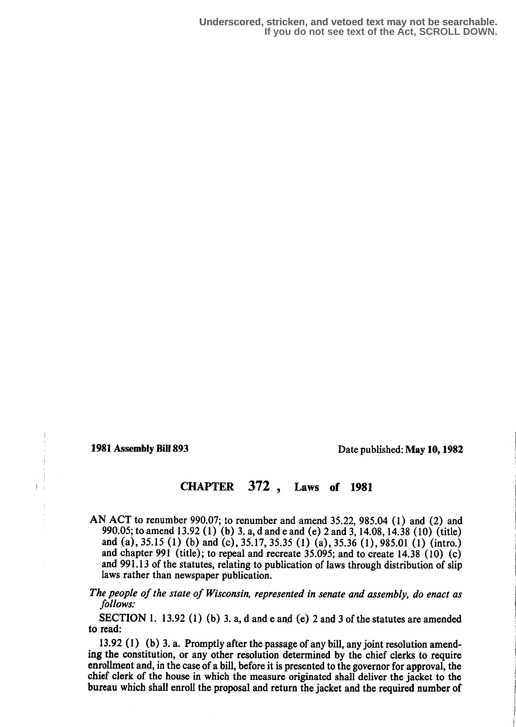1981 Assembly Bill 893 Date published: May 10, 1982

# CHAPTER 372, Laws of 1981

- AN ACT to renumber 990.0?; to renumber and amend 35.22, 985.04 (1) and (2) and 990.05; to amend 13.92 (1) (b) 3. a, d and e and (e) 2 and 3, 14.08, 14.38 (10) (title) and (a), 35.15 (1) (b) and (c), 35.17, 35.35 (1) (a), 35.36 (1), 985.01 (1) (intro.) and chapter 991 (title); to repeal and recreate 35.095; and to create  $14.38$  (10) (c) and 991.13 of the statutes, relating to publication of laws through distribution of slip laws rather than newspaper publication.
- The people of the state of Wisconsin, represented in senate and assembly, do enact as follows:

SECTION 1. 13.92 (1) (b) 3. a, d and e and (e) 2 and 3 of the statutes are amended to read:

13.92 (1) (b) 3. a. Promptly after the passage of any bill, any joint resolution amending the constitution, or any other resolution determined by the chief clerks to require enrollment and, in the case of a bill, before it is presented to the governor for approval, the chief clerk of the house in which the measure originated shall deliver the jacket to the bureau which shall enroll the proposal and return the jacket and the required number of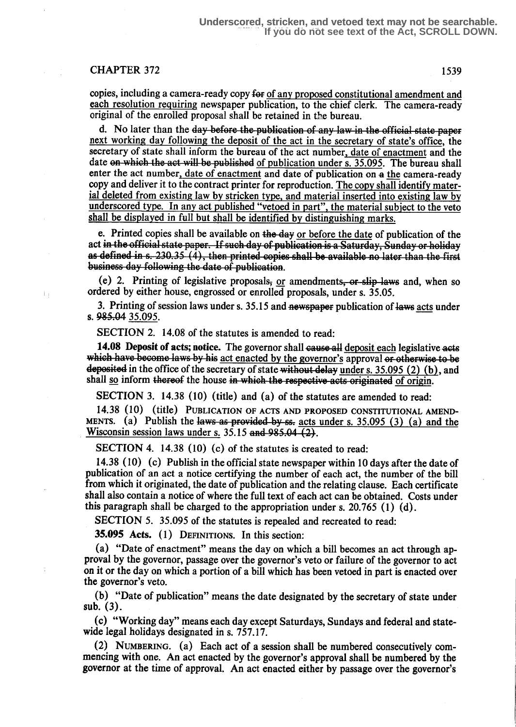### CHAPTER 372 1539

copies, including a camera-ready copy for of any proposed constitutional amendment and each resolution requiring newspaper publication, to the chief clerk. The camera-ready original of the enrolled proposal shall be retained in the bureau.

d. No later than the day before the publication of any law in the official state paper next working day following the deposit of the act in the secretary of state's office, the secretary of state shall inform the bureau of the act number, date of enactment and the date on which the act will be published of publication under s. 35.095. The bureau shall enter the act number, date of enactment and date of publication on a the camera-ready copy and deliver it to the contract printer for reproduction. The copy shall identify material deleted from existing law by stricken type, and material inserted into existing law by underscored type. In any act published "vetoed in part", the material subject to the veto shall be displayed in full but shall be identified by distinguishing marks.

e. Printed copies shall be available on the day or before the date of publication of the act in the official state paper. If such day of publication is a Saturday, Sunday or holiday<br>as defined in s. 230.35 (4), then printed copies shall be available no later than the first business day following the date of publication.

(e) 2. Printing of legislative proposals,  $or$  amendments, or slip laws and, when so ordered by either house, engrossed or enrolled proposals, under s. 35.05.

3. Printing of session laws under s. 35.15 and newspaper publication of laws acts under s. 985.04 35.095.

SECTION 2. 14.08 of the statutes is amended to read:

14.08 Deposit of acts; notice. The governor shall cause all deposit each legislative acts which have become laws by his act enacted by the governor's approval or otherwise to be deposited in the office of the secretary of state without delay under s.  $35.095$  (2) (b), and shall so inform thereof the house in which the respective acts originated of origin.

SECTION 3. 14.38 (10) (title) and (a) of the statutes are amended to read:

14.35 (1O) (title) PUBLICATION OF ACTS AND PROPOSED CONSTITUTIONAL AMEND-MENTS. (a) Publish the laws as provided by ss. acts under s.  $35.095$  (3) (a) and the Wisconsin session laws under s.  $35.15$  and  $985.04$  (2).

SECTION 4. 14.38 (10) (c) of the statutes is created to read:

14.38 (10) (c) Publish in the official state newspaper within 10 days after the date of publication of an act a notice certifying the number of each act, the number of the bill from which it originated, the date of publication and the relating clause. Each certificate shall also contain a notice of where the full text of each act can be obtained. Costs under this paragraph shall be charged to the appropriation under s. 20.765 (1) (d).

SECTION 5. 35.095 of the statutes is repealed and recreated to read:

35.095 Acts. (1) DEFINITIONS. In this section:

(a) "Date of enactment" means the day on which a bill becomes an act through approval by the governor, passage over the governor's veto or failure of the governor to act on it or the day on which a portion of a bill which has been vetoed in part is enacted over the governor's veto.

(b) "Date of publication" means the date designated by the secretary of state under sub.  $(3)$ .

(c) "Working day" means each day except Saturdays, Sundays and federal and statewide legal holidays designated in s. 757.17.

(2) NUMBERING. (a) Each act of a session shall be numbered consecutively commencing with one. An act enacted by the governor's approval shall be numbered by the governor at the time of approval. An act enacted either by passage over the governor's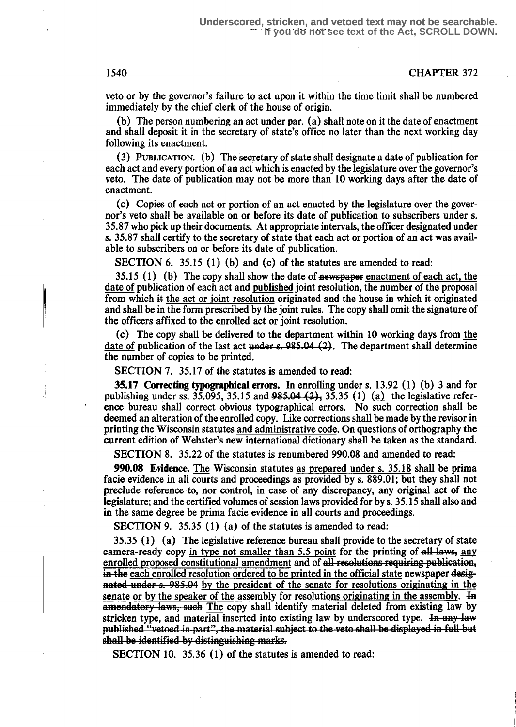#### 1540 CHAPTER 372

veto or by the governor's failure to act upon it within the time limit shall be numbered immediately by the chief clerk of the house of origin.

(b) The person numbering an act under par . (a) shall note on it the date of enactment and shall deposit it in the secretary of state's office no later than the next working day following its enactment.

(3) PUBLICATION. (b) The secretary of state shall designate a date of publication for each act and every portion of an act which is enacted by the legislature over the governor's veto. The date of publication may not be more than 10 working days after the date of enactment.

(c) Copies of each act or portion of an act enacted by the legislature over the governor's veto shall be available on or before its date of publication to subscribers under s. 35.87 who pick up their documents. At appropriate intervals, the officer designated under s. 35.87 shall certify to the secretary of state that each act or portion of an act was available to subscribers on or before its date of publication.

SECTION 6. 35.15 (1) (b) and (c) of the statutes are amended to read:

 $35.15$  (1) (b) The copy shall show the date of newspaper enactment of each act, the date of publication of each act and published joint resolution, the number of the proposal from which it the act or joint resolution originated and the house in which it originated and shall be in the form prescribed by the joint rules. The copy shall omit the signature of the officers affixed to the enrolled act or joint resolution.

(c) The copy shall be delivered to the department within 10 working days from the (c) The copy shall be delivered to the department within TO working days from the date of publication of the last act under  $s$ , 985.04 (2). The department shall determine the number of conjes to be printed the number of copies to be printed.

SECTION 7. 35.17 of the statutes is amended to read:

35.17 Correcting typographical errors. In enrolling under s. 13.92 (1) (b) 3 and for publishing under ss.  $35.095$ ,  $35.15$  and  $985.04$   $(2)$ ,  $35.35$   $(1)$   $(a)$  the legislative reference bureau shall correct obvious typographical errors . No such correction shall be deemed an alteration of the enrolled copy. Like corrections shall be made by the revisor in printing the Wisconsin statutes and administrative code. On questions of orthography the current edition of Webster's new international dictionary shall be taken as the standard.

SECTION 8. 35.22 of the statutes is renumbered 990.08 and amended to read:

990.08 Evidence. The Wisconsin statutes as prepared under s. 35.18 shall be prima facie evidence in all courts and proceedings as provided by s. 889.01; but they shall not preclude reference to, nor control, in case of any discrepancy, any original act of the legislature; and the certified volumes of session laws provided for by s . 35.15 shall also and in the same degree be prima facie evidence in all courts and proceedings.

SECTION 9. 35.35 (1) (a) of the statutes is amended to read:

nated under s. 985.04 by the president of the senate for resolutions originating in the senate or by the speaker of the assembly for resolutions originating in the assembly. He amendatory laws, such The copy shall identify material deleted from existing law by stricken type, and material inserted into existing law by underscored type. In any law published "vetoed in part", the material subject to the veto shall be displayed in full but<br>shall be identified by distinguishing marks. 35.35 (1) (a) The legislative reference bureau shall provide to the secretary of state camera-ready copy in type not smaller than 5.5 point for the printing of  $\frac{all \text{ law}}{s}$ , any enrolled proposed constitutional amendment and of all resolutions requiring publication, in the each enrolled resolution ordered to be printed in the official state newspaper desig-

SECTION 10. 35.36 (1) of the statutes is amended to read: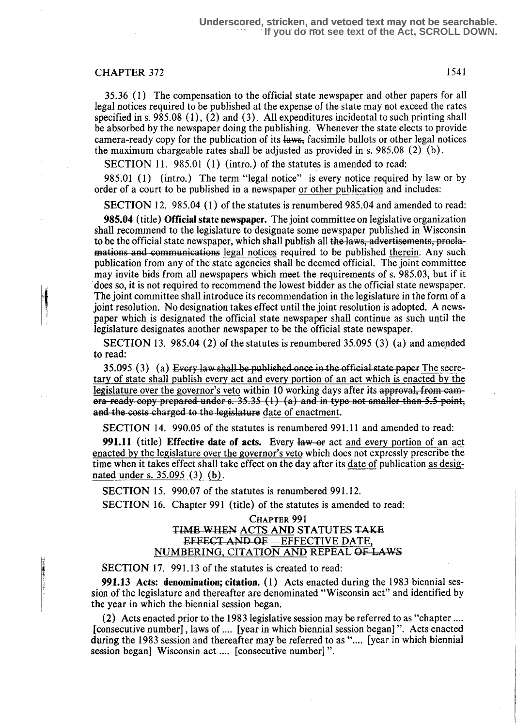#### CHAPTER 372 1541

35.36 (1) The compensation to the official state newspaper and other papers for all legal notices required to be published at the expense of the state may not exceed the rates specified in s.  $985.08(1)$ ,  $(2)$  and  $(3)$ . All expenditures incidental to such printing shall be absorbed by the newspaper doing the publishing. Whenever the state elects to provide camera-ready copy for the publication of its laws, facsimile ballots or other legal notices the maximum chargeable rates shall be adjusted as provided in s. 985.08  $(2)$  (b).

SECTION 11. 985.01 (1) (intro.) of the statutes is amended to read:

985.01 (1) (intro.) The term "legal notice" is every notice required by law or by order of a court to be published in a newspaper or other publication and includes :

SECTION 12. 985.04 (1) of the statutes is renumbered 985.04 and amended to read:

95.04 (title) Official state newspaper. The joint committee on legislative organization shall recommend to the legislature to designate some newspaper published in Wisconsin to be the official state newspaper, which shall publish all the laws, advertisements, proclamations and communications legal notices required to be published therein. Any such publication from any of the state agencies shall be deemed official . The joint committee may invite bids from all newspapers which meet the requirements of s. 985 .03, but if it does so, it is not required to recommend the lowest bidder as the official state newspaper. The joint committee shall introduce its recommendation in the legislature in the form of a joint resolution. No designation takes effect until the joint resolution is adopted. A newspaper which is designated the official state newspaper shall continue as such until the legislature designates another newspaper to be the official state newspaper.

SECTION 13. 985.04 (2) of the statutes is renumbered 35.095 (3) (a) and amended to read:

35.095 (3) (a) Every law shall be published once in the official state paper The secretary of state shall publish every act and every portion of an act which is enacted by the legislature over the governor's veto within 10 working days after its approval, from came-<br>era-ready copy prepared under s. 35.35  $(1)$   $(a)$  and in type not smaller than 5.5 point, and the costs charged to the legislature date of enactment.

SECTION 14. 990.05 of the statutes is renumbered 991.11 and amended to read:

**991.11** (title) Effective date of acts. Every law or act and every portion of an act enacted by the legislature over the governor's veto which does not expressly prescribe the time when it takes effect shall take effect on the day after its date of publication as designated under s. 35.095 (3) (b) .

SECTION 15. 990.07 of the statutes is renumbered 991.12.

SECTION 16. Chapter 991 (title) of the statutes is amended to read:

#### CHAPTER 991 TIME WHEN ACTS AND STATUTES TAKE EFFECT AND OF -EFFECTIVE DATE, NUMBERING, CITATION AND REPEAL OF LAWS

SECTION 17. 991.13 of the statutes is created to read:

**991.13** Acts: denomination; citation.  $(1)$  Acts enacted during the 1983 biennial session of the legislature and thereafter are denominated "Wisconsin act" and identified by the year in which the biennial session began.

(2) Acts enacted prior to the 1983 legislative session may be referred to as "chapter . . . . [consecutive number], laws of .... [year in which biennial session began]". Acts enacted during the 1983 session and thereafter may be referred to as ".... [year in which biennial session began] Wisconsin act .... [consecutive number]".